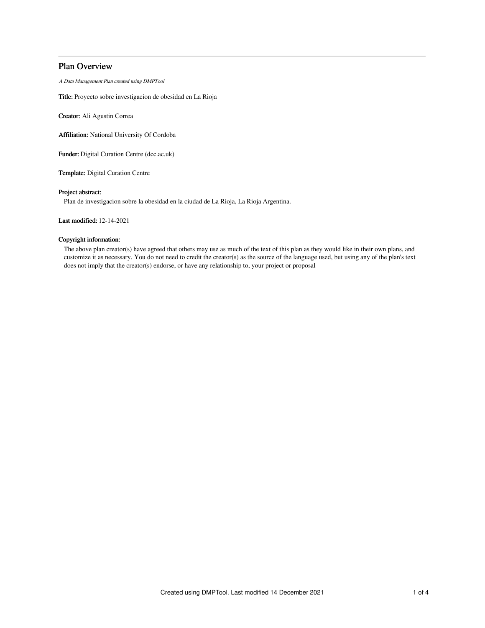## Plan Overview

A Data Management Plan created using DMPTool

Title: Proyecto sobre investigacion de obesidad en La Rioja

Creator: Ali Agustin Correa

Affiliation: National University Of Cordoba

Funder: Digital Curation Centre (dcc.ac.uk)

Template: Digital Curation Centre

## Project abstract:

Plan de investigacion sobre la obesidad en la ciudad de La Rioja, La Rioja Argentina.

Last modified: 12-14-2021

## Copyright information:

The above plan creator(s) have agreed that others may use as much of the text of this plan as they would like in their own plans, and customize it as necessary. You do not need to credit the creator(s) as the source of the language used, but using any of the plan's text does not imply that the creator(s) endorse, or have any relationship to, your project or proposal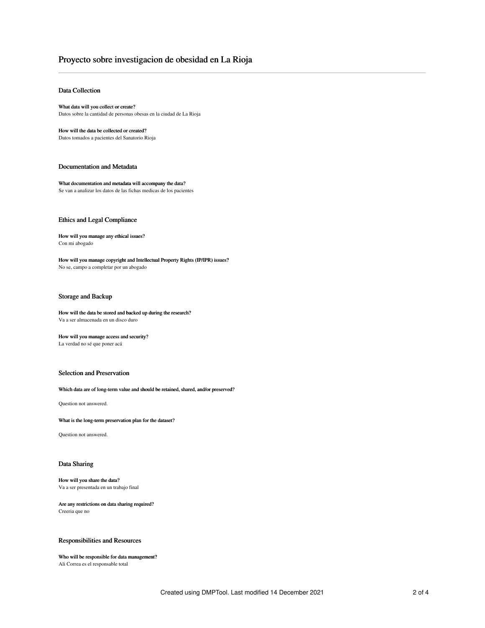# Proyecto sobre investigacion de obesidad en La Rioja

## Data Collection

What data will you collect or create? Datos sobre la cantidad de personas obesas en la ciudad de La Rioja

How will the data be collected or created? Datos tomados a pacientes del Sanatorio Rioja

#### Documentation and Metadata

What documentation and metadata will accompany the data? Se van a analizar los datos de las fichas medicas de los pacientes

#### Ethics and Legal Compliance

How will you manage any ethical issues? Con mi abogado

How will you manage copyright and Intellectual Property Rights (IP/IPR) issues? No se, campo a completar por un abogado

## Storage and Backup

#### How will the data be stored and backed up during the research? Va a ser almacenada en un disco duro

How will you manage access and security? La verdad no sé que poner acá

## Selection and Preservation

#### Which data are of long-term value and should be retained, shared, and/or preserved?

Question not answered.

What is the long-term preservation plan for the dataset?

Question not answered.

#### Data Sharing

#### How will you share the data? Va a ser presentada en un trabajo final

Are any restrictions on data sharing required? Creeria que no

## Responsibilities and Resources

#### Who will be responsible for data management? Ali Correa es el responsable total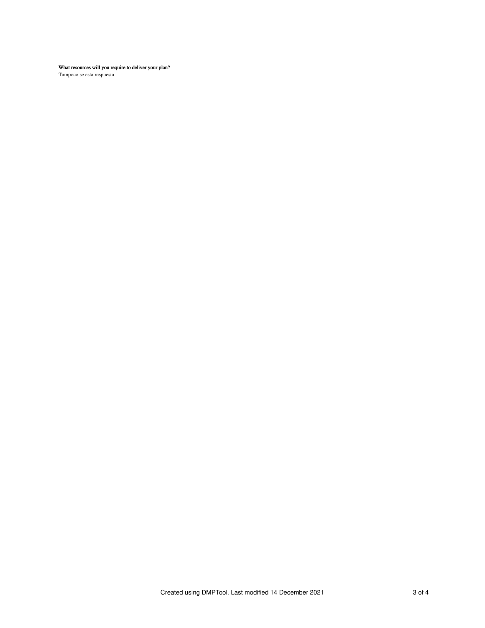What resources will you require to deliver your plan? Tampoco se esta respuesta